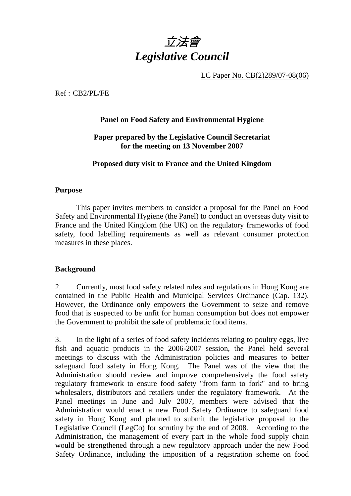

LC Paper No. CB(2)289/07-08(06)

Ref : CB2/PL/FE

## **Panel on Food Safety and Environmental Hygiene**

### **Paper prepared by the Legislative Council Secretariat for the meeting on 13 November 2007**

#### **Proposed duty visit to France and the United Kingdom**

#### **Purpose**

This paper invites members to consider a proposal for the Panel on Food Safety and Environmental Hygiene (the Panel) to conduct an overseas duty visit to France and the United Kingdom (the UK) on the regulatory frameworks of food safety, food labelling requirements as well as relevant consumer protection measures in these places.

#### **Background**

2. Currently, most food safety related rules and regulations in Hong Kong are contained in the Public Health and Municipal Services Ordinance (Cap. 132). However, the Ordinance only empowers the Government to seize and remove food that is suspected to be unfit for human consumption but does not empower the Government to prohibit the sale of problematic food items.

3. In the light of a series of food safety incidents relating to poultry eggs, live fish and aquatic products in the 2006-2007 session, the Panel held several meetings to discuss with the Administration policies and measures to better safeguard food safety in Hong Kong. The Panel was of the view that the Administration should review and improve comprehensively the food safety regulatory framework to ensure food safety "from farm to fork" and to bring wholesalers, distributors and retailers under the regulatory framework. At the Panel meetings in June and July 2007, members were advised that the Administration would enact a new Food Safety Ordinance to safeguard food safety in Hong Kong and planned to submit the legislative proposal to the Legislative Council (LegCo) for scrutiny by the end of 2008. According to the Administration, the management of every part in the whole food supply chain would be strengthened through a new regulatory approach under the new Food Safety Ordinance, including the imposition of a registration scheme on food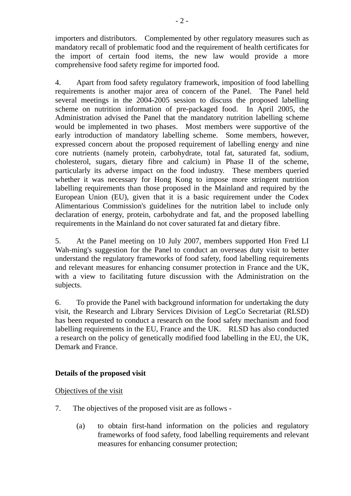importers and distributors. Complemented by other regulatory measures such as mandatory recall of problematic food and the requirement of health certificates for the import of certain food items, the new law would provide a more comprehensive food safety regime for imported food.

4. Apart from food safety regulatory framework, imposition of food labelling requirements is another major area of concern of the Panel. The Panel held several meetings in the 2004-2005 session to discuss the proposed labelling scheme on nutrition information of pre-packaged food. In April 2005, the Administration advised the Panel that the mandatory nutrition labelling scheme would be implemented in two phases. Most members were supportive of the early introduction of mandatory labelling scheme. Some members, however, expressed concern about the proposed requirement of labelling energy and nine core nutrients (namely protein, carbohydrate, total fat, saturated fat, sodium, cholesterol, sugars, dietary fibre and calcium) in Phase II of the scheme, particularly its adverse impact on the food industry. These members queried whether it was necessary for Hong Kong to impose more stringent nutrition labelling requirements than those proposed in the Mainland and required by the European Union (EU), given that it is a basic requirement under the Codex Alimentarious Commission's guidelines for the nutrition label to include only declaration of energy, protein, carbohydrate and fat, and the proposed labelling requirements in the Mainland do not cover saturated fat and dietary fibre.

5. At the Panel meeting on 10 July 2007, members supported Hon Fred LI Wah-ming's suggestion for the Panel to conduct an overseas duty visit to better understand the regulatory frameworks of food safety, food labelling requirements and relevant measures for enhancing consumer protection in France and the UK, with a view to facilitating future discussion with the Administration on the subjects.

6. To provide the Panel with background information for undertaking the duty visit, the Research and Library Services Division of LegCo Secretariat (RLSD) has been requested to conduct a research on the food safety mechanism and food labelling requirements in the EU, France and the UK. RLSD has also conducted a research on the policy of genetically modified food labelling in the EU, the UK, Demark and France.

### **Details of the proposed visit**

### Objectives of the visit

- 7. The objectives of the proposed visit are as follows
	- (a) to obtain first-hand information on the policies and regulatory frameworks of food safety, food labelling requirements and relevant measures for enhancing consumer protection;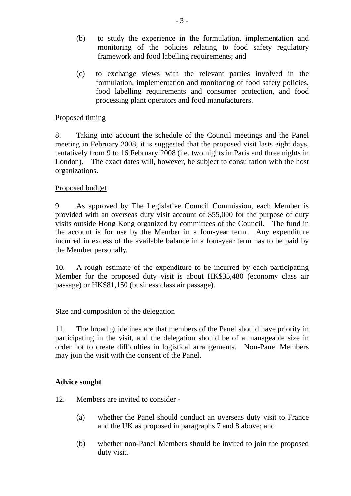- (b) to study the experience in the formulation, implementation and monitoring of the policies relating to food safety regulatory framework and food labelling requirements; and
- (c) to exchange views with the relevant parties involved in the formulation, implementation and monitoring of food safety policies, food labelling requirements and consumer protection, and food processing plant operators and food manufacturers.

### Proposed timing

8. Taking into account the schedule of the Council meetings and the Panel meeting in February 2008, it is suggested that the proposed visit lasts eight days, tentatively from 9 to 16 February 2008 (i.e. two nights in Paris and three nights in London). The exact dates will, however, be subject to consultation with the host organizations.

# Proposed budget

9. As approved by The Legislative Council Commission, each Member is provided with an overseas duty visit account of \$55,000 for the purpose of duty visits outside Hong Kong organized by committees of the Council. The fund in the account is for use by the Member in a four-year term. Any expenditure incurred in excess of the available balance in a four-year term has to be paid by the Member personally.

10. A rough estimate of the expenditure to be incurred by each participating Member for the proposed duty visit is about HK\$35,480 (economy class air passage) or HK\$81,150 (business class air passage).

### Size and composition of the delegation

11. The broad guidelines are that members of the Panel should have priority in participating in the visit, and the delegation should be of a manageable size in order not to create difficulties in logistical arrangements. Non-Panel Members may join the visit with the consent of the Panel.

### **Advice sought**

- 12. Members are invited to consider
	- (a) whether the Panel should conduct an overseas duty visit to France and the UK as proposed in paragraphs 7 and 8 above; and
	- (b) whether non-Panel Members should be invited to join the proposed duty visit.